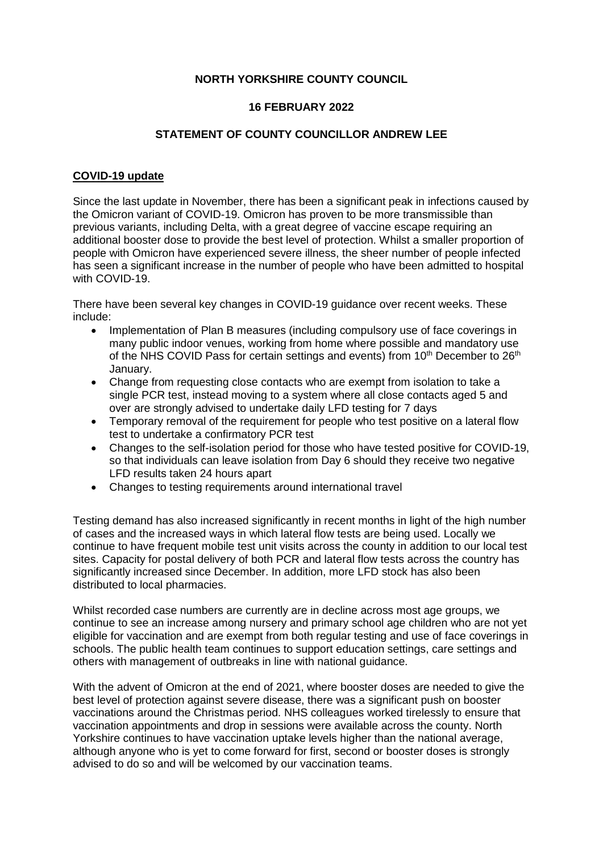# **NORTH YORKSHIRE COUNTY COUNCIL**

# **16 FEBRUARY 2022**

# **STATEMENT OF COUNTY COUNCILLOR ANDREW LEE**

# **COVID-19 update**

Since the last update in November, there has been a significant peak in infections caused by the Omicron variant of COVID-19. Omicron has proven to be more transmissible than previous variants, including Delta, with a great degree of vaccine escape requiring an additional booster dose to provide the best level of protection. Whilst a smaller proportion of people with Omicron have experienced severe illness, the sheer number of people infected has seen a significant increase in the number of people who have been admitted to hospital with COVID-19.

There have been several key changes in COVID-19 guidance over recent weeks. These include:

- Implementation of Plan B measures (including compulsory use of face coverings in many public indoor venues, working from home where possible and mandatory use of the NHS COVID Pass for certain settings and events) from 10<sup>th</sup> December to 26<sup>th</sup> January.
- Change from requesting close contacts who are exempt from isolation to take a single PCR test, instead moving to a system where all close contacts aged 5 and over are strongly advised to undertake daily LFD testing for 7 days
- Temporary removal of the requirement for people who test positive on a lateral flow test to undertake a confirmatory PCR test
- Changes to the self-isolation period for those who have tested positive for COVID-19, so that individuals can leave isolation from Day 6 should they receive two negative LFD results taken 24 hours apart
- Changes to testing requirements around international travel

Testing demand has also increased significantly in recent months in light of the high number of cases and the increased ways in which lateral flow tests are being used. Locally we continue to have frequent mobile test unit visits across the county in addition to our local test sites. Capacity for postal delivery of both PCR and lateral flow tests across the country has significantly increased since December. In addition, more LFD stock has also been distributed to local pharmacies.

Whilst recorded case numbers are currently are in decline across most age groups, we continue to see an increase among nursery and primary school age children who are not yet eligible for vaccination and are exempt from both regular testing and use of face coverings in schools. The public health team continues to support education settings, care settings and others with management of outbreaks in line with national guidance.

With the advent of Omicron at the end of 2021, where booster doses are needed to give the best level of protection against severe disease, there was a significant push on booster vaccinations around the Christmas period. NHS colleagues worked tirelessly to ensure that vaccination appointments and drop in sessions were available across the county. North Yorkshire continues to have vaccination uptake levels higher than the national average, although anyone who is yet to come forward for first, second or booster doses is strongly advised to do so and will be welcomed by our vaccination teams.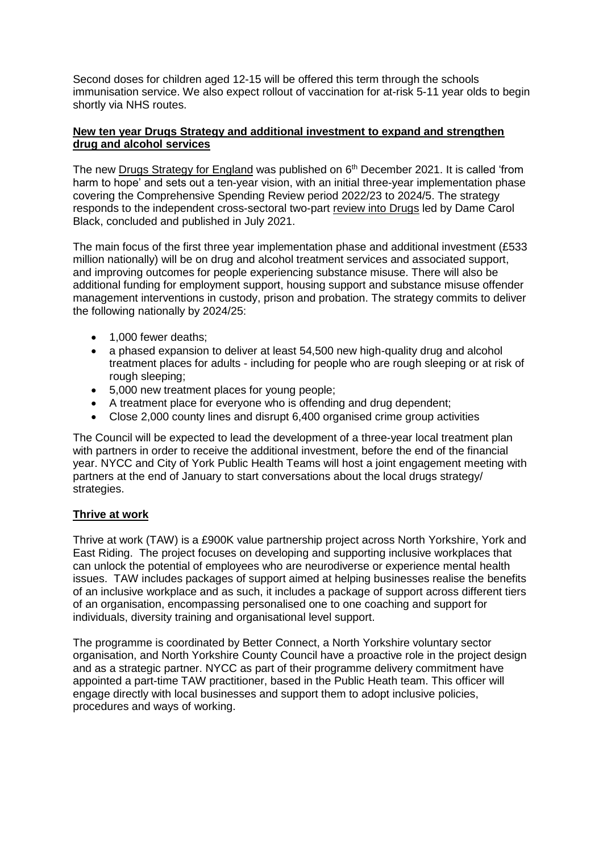Second doses for children aged 12-15 will be offered this term through the schools immunisation service. We also expect rollout of vaccination for at-risk 5-11 year olds to begin shortly via NHS routes.

## **New ten year Drugs Strategy and additional investment to expand and strengthen drug and alcohol services**

The new [Drugs Strategy for England](https://assets.publishing.service.gov.uk/government/uploads/system/uploads/attachment_data/file/1043484/From_harm_to_hope_PDF.pdf) was published on  $6<sup>th</sup>$  December 2021. It is called 'from harm to hope' and sets out a ten-year vision, with an initial three-year implementation phase covering the Comprehensive Spending Review period 2022/23 to 2024/5. The strategy responds to the independent cross-sectoral two-part [review into Drugs](https://www.gov.uk/government/collections/independent-review-of-drugs-by-professor-dame-carol-black) led by Dame Carol Black, concluded and published in July 2021.

The main focus of the first three year implementation phase and additional investment (£533 million nationally) will be on drug and alcohol treatment services and associated support, and improving outcomes for people experiencing substance misuse. There will also be additional funding for employment support, housing support and substance misuse offender management interventions in custody, prison and probation. The strategy commits to deliver the following nationally by 2024/25:

- 1,000 fewer deaths:
- a phased expansion to deliver at least 54,500 new high-quality drug and alcohol treatment places for adults - including for people who are rough sleeping or at risk of rough sleeping;
- 5,000 new treatment places for young people;
- A treatment place for everyone who is offending and drug dependent;
- Close 2,000 county lines and disrupt 6,400 organised crime group activities

The Council will be expected to lead the development of a three-year local treatment plan with partners in order to receive the additional investment, before the end of the financial year. NYCC and City of York Public Health Teams will host a joint engagement meeting with partners at the end of January to start conversations about the local drugs strategy/ strategies.

# **Thrive at work**

Thrive at work (TAW) is a £900K value partnership project across North Yorkshire, York and East Riding. The project focuses on developing and supporting inclusive workplaces that can unlock the potential of employees who are neurodiverse or experience mental health issues. TAW includes packages of support aimed at helping businesses realise the benefits of an inclusive workplace and as such, it includes a package of support across different tiers of an organisation, encompassing personalised one to one coaching and support for individuals, diversity training and organisational level support.

The programme is coordinated by Better Connect, a North Yorkshire voluntary sector organisation, and North Yorkshire County Council have a proactive role in the project design and as a strategic partner. NYCC as part of their programme delivery commitment have appointed a part-time TAW practitioner, based in the Public Heath team. This officer will engage directly with local businesses and support them to adopt inclusive policies, procedures and ways of working.